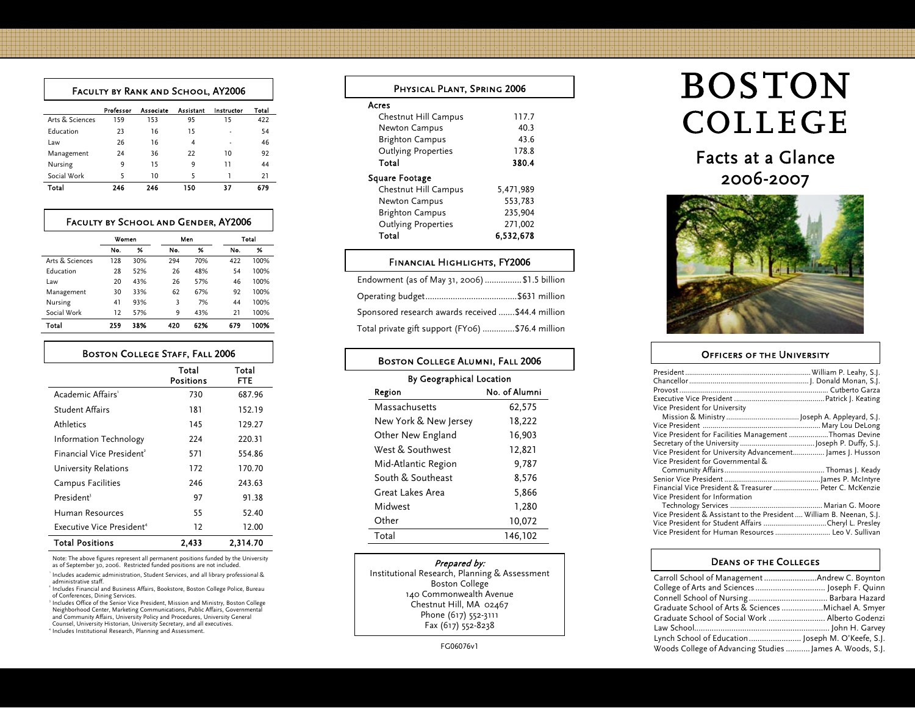| Faculty by Rank and School, AY2006 |           |           |                  |            |       |  |
|------------------------------------|-----------|-----------|------------------|------------|-------|--|
|                                    | Professor | Associate | <b>Assistant</b> | Instructor | Total |  |
| Arts & Sciences                    | 159       | 153       | 95               | 15         | 422   |  |
| Education                          | 23        | 16        | 15               |            | 54    |  |
| Law                                | 26        | 16        | 4                |            | 46    |  |
| Management                         | 24        | 36        | 22               | 10         | 92    |  |
| Nursing                            | 9         | 15        | 9                | 11         | 44    |  |
| Social Work                        | 5         | 10        | 5                |            | 21    |  |
| Total                              | 246       | 246       | 150              | 37         | 679   |  |

### Faculty by School and Gender, AY2006

|                 |     | Men |     | Women |     |      |  | Total |
|-----------------|-----|-----|-----|-------|-----|------|--|-------|
|                 | No. | %   | No. | %     | No. | %    |  |       |
| Arts & Sciences | 128 | 30% | 294 | 70%   | 422 | 100% |  |       |
| Education       | 28  | 52% | 26  | 48%   | 54  | 100% |  |       |
| Law             | 20  | 43% | 26  | 57%   | 46  | 100% |  |       |
| Management      | 30  | 33% | 62  | 67%   | 92  | 100% |  |       |
| Nursing         | 41  | 93% | 3   | 7%    | 44  | 100% |  |       |
| Social Work     | 12  | 57% | 9   | 43%   | 21  | 100% |  |       |
| Total           | 259 | 38% | 420 | 62%   | 679 | 100% |  |       |

| <b>BOSTON COLLEGE STAFF, FALL 2006</b>      |                    |              |  |  |
|---------------------------------------------|--------------------|--------------|--|--|
|                                             | Total<br>Positions | Total<br>FTE |  |  |
| Academic Affairs'                           | 730                | 687.96       |  |  |
| Student Affairs                             | 181                | 152.19       |  |  |
| Athletics                                   | 145                | 129.27       |  |  |
| Information Technology                      | 224                | 220.31       |  |  |
| Financial Vice President <sup>2</sup>       | 571                | 554.86       |  |  |
| University Relations                        | 172                | 170.70       |  |  |
| Campus Facilities                           | 246                | 243.63       |  |  |
| President <sup>3</sup>                      | 97                 | 91.38        |  |  |
| Human Resources                             | 55                 | 52.40        |  |  |
| Executive Vice President <sup>4</sup>       | 12                 | 12.00        |  |  |
| <b>Total Positions</b><br>2.433<br>2,314.70 |                    |              |  |  |

 Note: The above figures represent all permanent positions funded by the University as of September 30, 2006. Restricted funded positions are not included. 1 Includes academic administration, Student Services, and all library professional &

administrative staff. <sup>2</sup> Includes Financial and Business Affairs, Bookstore, Boston College Police, Bureau

of Conferences, Dining Services.

Includes Office of the Senior Vice President, Mission and Ministry, Boston College<br>Neighborhood Center, Marketing Communications, Public Affairs, Governmental<br>and Community Affairs, University Policy and Procedures, Univer Counsel, University Historian, University Secretary, and all executives. 4 Includes Institutional Research, Planning and Assessment.

| PHYSICAL PLANT, SPRING 2006 |           |  |  |  |
|-----------------------------|-----------|--|--|--|
| Acres                       |           |  |  |  |
| Chestnut Hill Campus        | 117.7     |  |  |  |
| <b>Newton Campus</b>        | 40.3      |  |  |  |
| <b>Brighton Campus</b>      | 43.6      |  |  |  |
| <b>Outlying Properties</b>  | 178.8     |  |  |  |
| Total                       | 380.4     |  |  |  |
| <b>Square Footage</b>       |           |  |  |  |
| Chestnut Hill Campus        | 5,471,989 |  |  |  |
| Newton Campus               | 553,783   |  |  |  |
| <b>Brighton Campus</b>      | 235,904   |  |  |  |
| <b>Outlying Properties</b>  | 271,002   |  |  |  |
| Total                       | 6.532.678 |  |  |  |

## Financial Highlights, FY2006

| Endowment (as of May 31, 2006) \$1.5 billion       |  |
|----------------------------------------------------|--|
|                                                    |  |
| Sponsored research awards received  \$44.4 million |  |
| Total private gift support (FY06) \$76.4 million   |  |

| <b>BOSTON COLLEGE ALUMNI, FALL 2006</b> |                          |  |  |  |
|-----------------------------------------|--------------------------|--|--|--|
|                                         | By Geographical Location |  |  |  |
| No. of Alumni<br>Region                 |                          |  |  |  |
| Massachusetts                           | 62,575                   |  |  |  |
| New York & New Jersey                   | 18,222                   |  |  |  |
| Other New England                       | 16,903                   |  |  |  |
| West & Southwest                        | 12,821                   |  |  |  |
| Mid-Atlantic Region                     | 9,787                    |  |  |  |
| South & Southeast                       | 8,576                    |  |  |  |
| Great Lakes Area                        | 5,866                    |  |  |  |
| Midwest                                 | 1,280                    |  |  |  |
| Other                                   | 10,072                   |  |  |  |
| Total                                   | 146,102                  |  |  |  |

Prepared by: Institutional Research, Planning & Assessment Boston College 140 Commonwealth Avenue Chestnut Hill, MA 02467 Phone (617) 552-3111 Fax (617) 552-8238

# **BOSTON** COLLEGE

Facts at a Glance2006-2007



## **OFFICERS OF THE UNIVERSITY**

| Vice President for University                                        |
|----------------------------------------------------------------------|
|                                                                      |
|                                                                      |
| Vice President for Facilities Management Thomas Devine               |
|                                                                      |
| Vice President for University Advancement James J. Husson            |
| Vice President for Governmental &                                    |
|                                                                      |
|                                                                      |
| Financial Vice President & Treasurer Peter C. McKenzie               |
| Vice President for Information                                       |
|                                                                      |
| Vice President & Assistant to the President  William B. Neenan, S.J. |
| Vice President for Student Affairs Cheryl L. Presley                 |
| Vice President for Human Resources  Leo V. Sullivan                  |

#### Deans of the Colleges

| Carroll School of Management Andrew C. Boynton           |  |
|----------------------------------------------------------|--|
|                                                          |  |
|                                                          |  |
| Graduate School of Arts & Sciences  Michael A. Smyer     |  |
| Graduate School of Social Work  Alberto Godenzi          |  |
|                                                          |  |
|                                                          |  |
| Woods College of Advancing Studies  James A. Woods, S.J. |  |